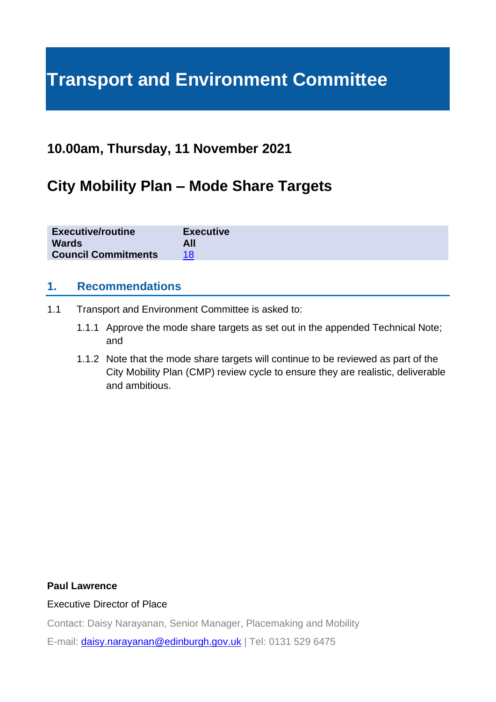# **Transport and Environment Committee**

# **10.00am, Thursday, 11 November 2021**

# **City Mobility Plan – Mode Share Targets**

| <b>Executive/routine</b>   | <b>Executive</b> |
|----------------------------|------------------|
| <b>Wards</b>               | All              |
| <b>Council Commitments</b> |                  |

## **1. Recommendations**

- 1.1 Transport and Environment Committee is asked to:
	- 1.1.1 Approve the mode share targets as set out in the appended Technical Note; and
	- 1.1.2 Note that the mode share targets will continue to be reviewed as part of the City Mobility Plan (CMP) review cycle to ensure they are realistic, deliverable and ambitious.

#### **Paul Lawrence**

#### Executive Director of Place

Contact: Daisy Narayanan, Senior Manager, Placemaking and Mobility

E-mail: [daisy.narayanan@edinburgh.gov.uk](mailto:daisy.narayanan@edinburgh.gov.uk) | Tel: 0131 529 6475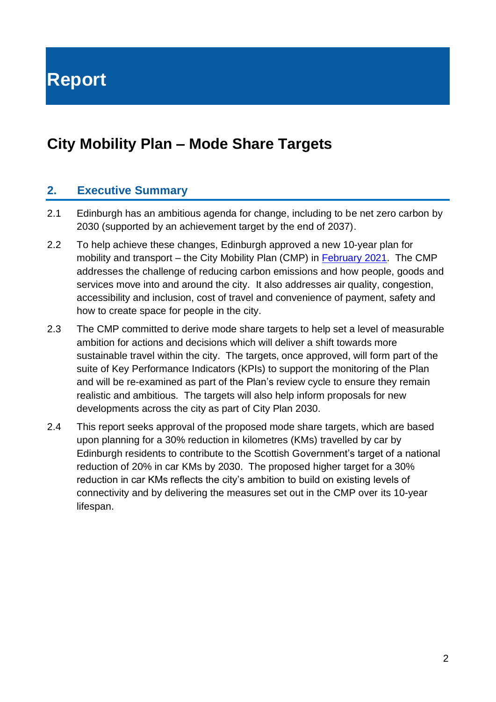**Report**

# **City Mobility Plan – Mode Share Targets**

## **2. Executive Summary**

- 2.1 Edinburgh has an ambitious agenda for change, including to be net zero carbon by 2030 (supported by an achievement target by the end of 2037).
- 2.2 To help achieve these changes, Edinburgh approved a new 10-year plan for mobility and transport – the City Mobility Plan (CMP) in [February 2021.](https://democracy.edinburgh.gov.uk/documents/s31421/City%20Mobility%20Plan%20-%20Combined%20v2.pdf) The CMP addresses the challenge of reducing carbon emissions and how people, goods and services move into and around the city. It also addresses air quality, congestion, accessibility and inclusion, cost of travel and convenience of payment, safety and how to create space for people in the city.
- 2.3 The CMP committed to derive mode share targets to help set a level of measurable ambition for actions and decisions which will deliver a shift towards more sustainable travel within the city. The targets, once approved, will form part of the suite of Key Performance Indicators (KPIs) to support the monitoring of the Plan and will be re-examined as part of the Plan's review cycle to ensure they remain realistic and ambitious. The targets will also help inform proposals for new developments across the city as part of City Plan 2030.
- 2.4 This report seeks approval of the proposed mode share targets, which are based upon planning for a 30% reduction in kilometres (KMs) travelled by car by Edinburgh residents to contribute to the Scottish Government's target of a national reduction of 20% in car KMs by 2030. The proposed higher target for a 30% reduction in car KMs reflects the city's ambition to build on existing levels of connectivity and by delivering the measures set out in the CMP over its 10-year lifespan.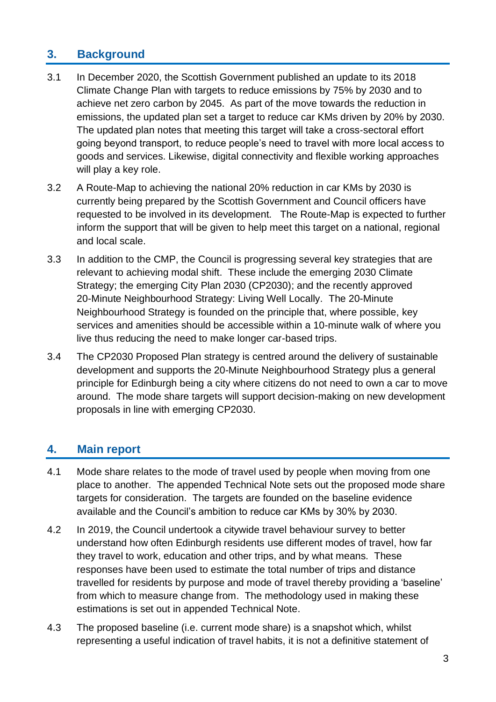# **3. Background**

- 3.1 In December 2020, the Scottish Government published an update to its 2018 Climate Change Plan with targets to reduce emissions by 75% by 2030 and to achieve net zero carbon by 2045. As part of the move towards the reduction in emissions, the updated plan set a target to reduce car KMs driven by 20% by 2030. The updated plan notes that meeting this target will take a cross-sectoral effort going beyond transport, to reduce people's need to travel with more local access to goods and services. Likewise, digital connectivity and flexible working approaches will play a key role.
- 3.2 A Route-Map to achieving the national 20% reduction in car KMs by 2030 is currently being prepared by the Scottish Government and Council officers have requested to be involved in its development. The Route-Map is expected to further inform the support that will be given to help meet this target on a national, regional and local scale.
- 3.3 In addition to the CMP, the Council is progressing several key strategies that are relevant to achieving modal shift. These include the emerging 2030 Climate Strategy; the emerging City Plan 2030 (CP2030); and the recently approved 20-Minute Neighbourhood Strategy: Living Well Locally. The 20-Minute Neighbourhood Strategy is founded on the principle that, where possible, key services and amenities should be accessible within a 10-minute walk of where you live thus reducing the need to make longer car-based trips.
- 3.4 The CP2030 Proposed Plan strategy is centred around the delivery of sustainable development and supports the 20-Minute Neighbourhood Strategy plus a general principle for Edinburgh being a city where citizens do not need to own a car to move around. The mode share targets will support decision-making on new development proposals in line with emerging CP2030.

# **4. Main report**

- 4.1 Mode share relates to the mode of travel used by people when moving from one place to another. The appended Technical Note sets out the proposed mode share targets for consideration. The targets are founded on the baseline evidence available and the Council's ambition to reduce car KMs by 30% by 2030.
- 4.2 In 2019, the Council undertook a citywide travel behaviour survey to better understand how often Edinburgh residents use different modes of travel, how far they travel to work, education and other trips, and by what means. These responses have been used to estimate the total number of trips and distance travelled for residents by purpose and mode of travel thereby providing a 'baseline' from which to measure change from. The methodology used in making these estimations is set out in appended Technical Note.
- 4.3 The proposed baseline (i.e. current mode share) is a snapshot which, whilst representing a useful indication of travel habits, it is not a definitive statement of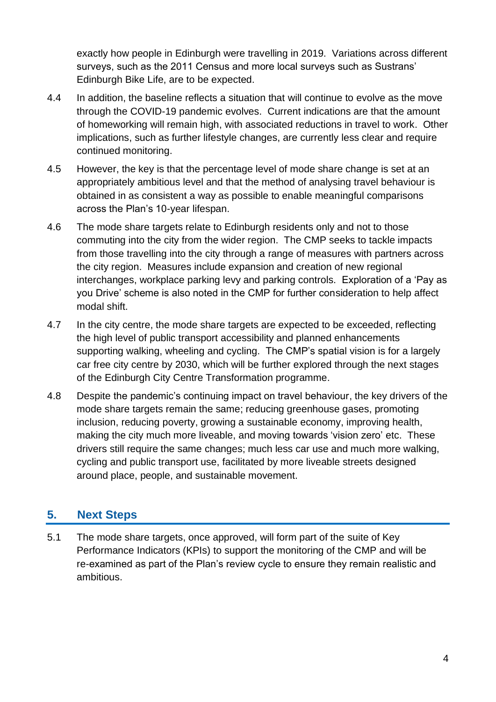exactly how people in Edinburgh were travelling in 2019. Variations across different surveys, such as the 2011 Census and more local surveys such as Sustrans' Edinburgh Bike Life, are to be expected.

- 4.4 In addition, the baseline reflects a situation that will continue to evolve as the move through the COVID-19 pandemic evolves. Current indications are that the amount of homeworking will remain high, with associated reductions in travel to work. Other implications, such as further lifestyle changes, are currently less clear and require continued monitoring.
- 4.5 However, the key is that the percentage level of mode share change is set at an appropriately ambitious level and that the method of analysing travel behaviour is obtained in as consistent a way as possible to enable meaningful comparisons across the Plan's 10-year lifespan.
- 4.6 The mode share targets relate to Edinburgh residents only and not to those commuting into the city from the wider region. The CMP seeks to tackle impacts from those travelling into the city through a range of measures with partners across the city region. Measures include expansion and creation of new regional interchanges, workplace parking levy and parking controls. Exploration of a 'Pay as you Drive' scheme is also noted in the CMP for further consideration to help affect modal shift.
- 4.7 In the city centre, the mode share targets are expected to be exceeded, reflecting the high level of public transport accessibility and planned enhancements supporting walking, wheeling and cycling. The CMP's spatial vision is for a largely car free city centre by 2030, which will be further explored through the next stages of the Edinburgh City Centre Transformation programme.
- 4.8 Despite the pandemic's continuing impact on travel behaviour, the key drivers of the mode share targets remain the same; reducing greenhouse gases, promoting inclusion, reducing poverty, growing a sustainable economy, improving health, making the city much more liveable, and moving towards 'vision zero' etc. These drivers still require the same changes; much less car use and much more walking, cycling and public transport use, facilitated by more liveable streets designed around place, people, and sustainable movement.

# **5. Next Steps**

5.1 The mode share targets, once approved, will form part of the suite of Key Performance Indicators (KPIs) to support the monitoring of the CMP and will be re-examined as part of the Plan's review cycle to ensure they remain realistic and ambitious.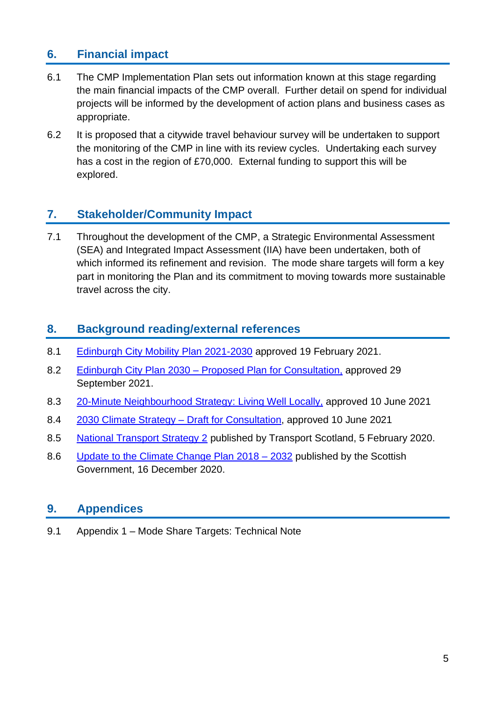# **6. Financial impact**

- 6.1 The CMP Implementation Plan sets out information known at this stage regarding the main financial impacts of the CMP overall. Further detail on spend for individual projects will be informed by the development of action plans and business cases as appropriate.
- 6.2 It is proposed that a citywide travel behaviour survey will be undertaken to support the monitoring of the CMP in line with its review cycles. Undertaking each survey has a cost in the region of £70,000. External funding to support this will be explored.

# **7. Stakeholder/Community Impact**

7.1 Throughout the development of the CMP, a Strategic Environmental Assessment (SEA) and Integrated Impact Assessment (IIA) have been undertaken, both of which informed its refinement and revision. The mode share targets will form a key part in monitoring the Plan and its commitment to moving towards more sustainable travel across the city.

## **8. Background reading/external references**

- 8.1 [Edinburgh City Mobility Plan 2021-2030](https://www.edinburgh.gov.uk/downloads/file/29320/city-mobility-plan-2021-2030-pdf) approved 19 February 2021.
- 8.2 Edinburgh City Plan 2030 [Proposed Plan for Consultation,](https://democracy.edinburgh.gov.uk/documents/s37852/6.1%20-%20City%20Plan%202030%20Approval%20of%20Proposed%20Plan%20for%20Statutory%20Representation%20Period.pdf.pdf) approved 29 September 2021.
- 8.3 [20-Minute Neighbourhood Strategy: Living Well Locally,](https://democracy.edinburgh.gov.uk/documents/s34667/Item%207.10%20-%2020-Minute%20Neighbourhood%20Strategy%20-%20Living%20Well%20Locally.pdf) approved 10 June 2021
- 8.4 [2030 Climate Strategy –](https://democracy.edinburgh.gov.uk/documents/s34649/Item%207.7%20-%202030%20Climate%20Strategy%20-%20Draft%20for%20Consultation.pdf) Draft for Consultation, approved 10 June 2021
- 8.5 [National Transport Strategy 2](https://www.transport.gov.scot/media/47052/national-transport-strategy.pdf) published by Transport Scotland, 5 February 2020.
- 8.6 [Update to the Climate Change Plan 2018 –](https://www.gov.scot/binaries/content/documents/govscot/publications/strategy-plan/2020/12/securing-green-recovery-path-net-zero-update-climate-change-plan-20182032/documents/update-climate-change-plan-2018-2032-securing-green-recovery-path-net-zero/update-climate-change-plan-2018-2032-securing-green-recovery-path-net-zero/govscot%3Adocument/update-climate-change-plan-2018-2032-securing-green-recovery-path-net-zero.pdf?forceDownload=true) 2032 published by the Scottish Government, 16 December 2020.

# **9. Appendices**

9.1 Appendix 1 – Mode Share Targets: Technical Note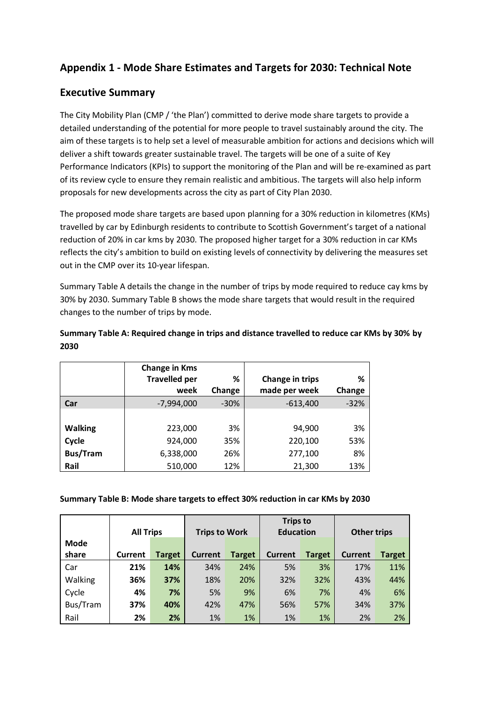# **Appendix 1 - Mode Share Estimates and Targets for 2030: Technical Note**

### **Executive Summary**

The City Mobility Plan (CMP / 'the Plan') committed to derive mode share targets to provide a detailed understanding of the potential for more people to travel sustainably around the city. The aim of these targets is to help set a level of measurable ambition for actions and decisions which will deliver a shift towards greater sustainable travel. The targets will be one of a suite of Key Performance Indicators (KPIs) to support the monitoring of the Plan and will be re-examined as part of its review cycle to ensure they remain realistic and ambitious. The targets will also help inform proposals for new developments across the city as part of City Plan 2030.

The proposed mode share targets are based upon planning for a 30% reduction in kilometres (KMs) travelled by car by Edinburgh residents to contribute to Scottish Government's target of a national reduction of 20% in car kms by 2030. The proposed higher target for a 30% reduction in car KMs reflects the city's ambition to build on existing levels of connectivity by delivering the measures set out in the CMP over its 10-year lifespan.

Summary Table A details the change in the number of trips by mode required to reduce cay kms by 30% by 2030. Summary Table B shows the mode share targets that would result in the required changes to the number of trips by mode.

|                 | <b>Change in Kms</b> |        |                 |        |
|-----------------|----------------------|--------|-----------------|--------|
|                 | <b>Travelled per</b> | ℅      | Change in trips | %      |
|                 | week                 | Change | made per week   | Change |
| Car             | $-7,994,000$         | $-30%$ | $-613,400$      | $-32%$ |
|                 |                      |        |                 |        |
| <b>Walking</b>  | 223,000              | 3%     | 94,900          | 3%     |
| Cycle           | 924,000              | 35%    | 220,100         | 53%    |
| <b>Bus/Tram</b> | 6,338,000            | 26%    | 277,100         | 8%     |
| Rail            | 510,000              | 12%    | 21,300          | 13%    |

**Summary Table A: Required change in trips and distance travelled to reduce car KMs by 30% by 2030**

#### **Summary Table B: Mode share targets to effect 30% reduction in car KMs by 2030**

|             | <b>All Trips</b> |        | <b>Trips to Work</b> |               | <b>Trips to</b><br><b>Education</b> |               | <b>Other trips</b> |        |
|-------------|------------------|--------|----------------------|---------------|-------------------------------------|---------------|--------------------|--------|
| <b>Mode</b> |                  |        |                      |               |                                     |               |                    |        |
| share       | <b>Current</b>   | Target | <b>Current</b>       | <b>Target</b> | <b>Current</b>                      | <b>Target</b> | <b>Current</b>     | Target |
| Car         | 21%              | 14%    | 34%                  | 24%           | 5%                                  | 3%            | 17%                | 11%    |
| Walking     | 36%              | 37%    | 18%                  | 20%           | 32%                                 | 32%           | 43%                | 44%    |
| Cycle       | 4%               | 7%     | 5%                   | 9%            | 6%                                  | 7%            | 4%                 | 6%     |
| Bus/Tram    | 37%              | 40%    | 42%                  | 47%           | 56%                                 | 57%           | 34%                | 37%    |
| Rail        | 2%               | 2%     | 1%                   | 1%            | 1%                                  | 1%            | 2%                 | 2%     |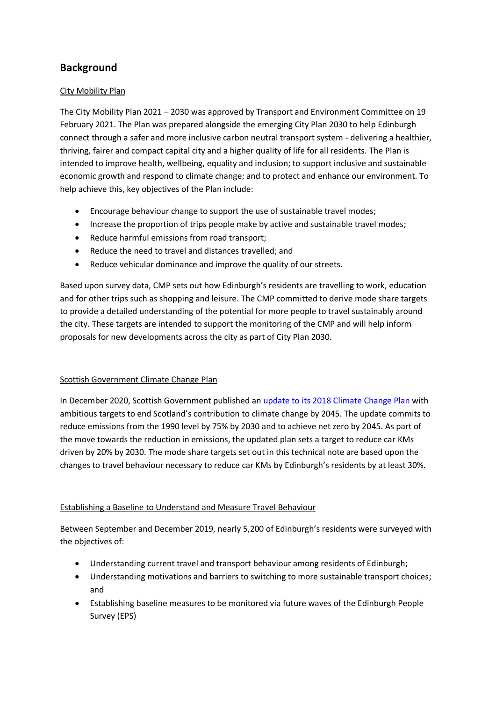# **Background**

#### City Mobility Plan

The City Mobility Plan 2021 – 2030 was approved by Transport and Environment Committee on 19 February 2021. The Plan was prepared alongside the emerging City Plan 2030 to help Edinburgh connect through a safer and more inclusive carbon neutral transport system - delivering a healthier, thriving, fairer and compact capital city and a higher quality of life for all residents. The Plan is intended to improve health, wellbeing, equality and inclusion; to support inclusive and sustainable economic growth and respond to climate change; and to protect and enhance our environment. To help achieve this, key objectives of the Plan include:

- Encourage behaviour change to support the use of sustainable travel modes;
- Increase the proportion of trips people make by active and sustainable travel modes;
- Reduce harmful emissions from road transport;
- Reduce the need to travel and distances travelled; and
- Reduce vehicular dominance and improve the quality of our streets.

Based upon survey data, CMP sets out how Edinburgh's residents are travelling to work, education and for other trips such as shopping and leisure. The CMP committed to derive mode share targets to provide a detailed understanding of the potential for more people to travel sustainably around the city. These targets are intended to support the monitoring of the CMP and will help inform proposals for new developments across the city as part of City Plan 2030.

#### Scottish Government Climate Change Plan

In December 2020, Scottish Government published an [update to its 2018 Climate Change Plan](https://www.gov.scot/publications/securing-green-recovery-path-net-zero-update-climate-change-plan-20182032/documents/) with ambitious targets to end Scotland's contribution to climate change by 2045. The update commits to reduce emissions from the 1990 level by 75% by 2030 and to achieve net zero by 2045. As part of the move towards the reduction in emissions, the updated plan sets a target to reduce car KMs driven by 20% by 2030. The mode share targets set out in this technical note are based upon the changes to travel behaviour necessary to reduce car KMs by Edinburgh's residents by at least 30%.

#### Establishing a Baseline to Understand and Measure Travel Behaviour

Between September and December 2019, nearly 5,200 of Edinburgh's residents were surveyed with the objectives of:

- Understanding current travel and transport behaviour among residents of Edinburgh;
- Understanding motivations and barriers to switching to more sustainable transport choices; and
- Establishing baseline measures to be monitored via future waves of the Edinburgh People Survey (EPS)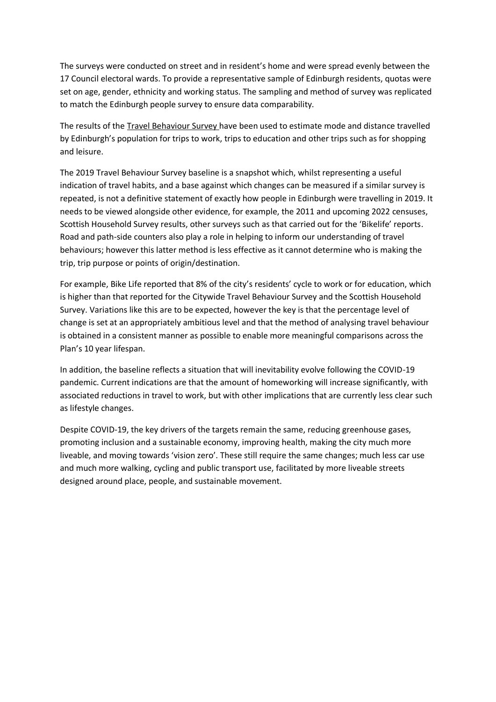The surveys were conducted on street and in resident's home and were spread evenly between the 17 Council electoral wards. To provide a representative sample of Edinburgh residents, quotas were set on age, gender, ethnicity and working status. The sampling and method of survey was replicated to match the Edinburgh people survey to ensure data comparability.

The results of the Travel Behaviour Survey have been used to estimate mode and distance travelled by Edinburgh's population for trips to work, trips to education and other trips such as for shopping and leisure.

The 2019 Travel Behaviour Survey baseline is a snapshot which, whilst representing a useful indication of travel habits, and a base against which changes can be measured if a similar survey is repeated, is not a definitive statement of exactly how people in Edinburgh were travelling in 2019. It needs to be viewed alongside other evidence, for example, the 2011 and upcoming 2022 censuses, Scottish Household Survey results, other surveys such as that carried out for the 'Bikelife' reports. Road and path-side counters also play a role in helping to inform our understanding of travel behaviours; however this latter method is less effective as it cannot determine who is making the trip, trip purpose or points of origin/destination.

For example, Bike Life reported that 8% of the city's residents' cycle to work or for education, which is higher than that reported for the Citywide Travel Behaviour Survey and the Scottish Household Survey. Variations like this are to be expected, however the key is that the percentage level of change is set at an appropriately ambitious level and that the method of analysing travel behaviour is obtained in a consistent manner as possible to enable more meaningful comparisons across the Plan's 10 year lifespan.

In addition, the baseline reflects a situation that will inevitability evolve following the COVID-19 pandemic. Current indications are that the amount of homeworking will increase significantly, with associated reductions in travel to work, but with other implications that are currently less clear such as lifestyle changes.

Despite COVID-19, the key drivers of the targets remain the same, reducing greenhouse gases, promoting inclusion and a sustainable economy, improving health, making the city much more liveable, and moving towards 'vision zero'. These still require the same changes; much less car use and much more walking, cycling and public transport use, facilitated by more liveable streets designed around place, people, and sustainable movement.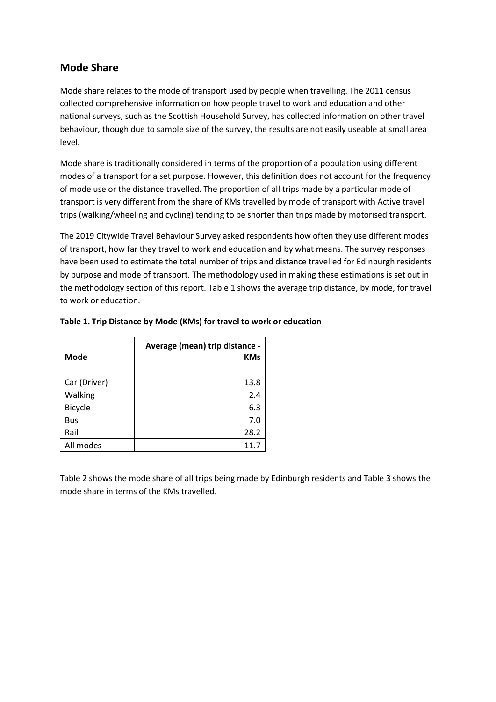### **Mode Share**

Mode share relates to the mode of transport used by people when travelling. The 2011 census collected comprehensive information on how people travel to work and education and other national surveys, such as the Scottish Household Survey, has collected information on other travel behaviour, though due to sample size of the survey, the results are not easily useable at small area level.

Mode share is traditionally considered in terms of the proportion of a population using different modes of a transport for a set purpose. However, this definition does not account for the frequency of mode use or the distance travelled. The proportion of all trips made by a particular mode of transport is very different from the share of KMs travelled by mode of transport with Active travel trips (walking/wheeling and cycling) tending to be shorter than trips made by motorised transport.

The 2019 Citywide Travel Behaviour Survey asked respondents how often they use different modes of transport, how far they travel to work and education and by what means. The survey responses have been used to estimate the total number of trips and distance travelled for Edinburgh residents by purpose and mode of transport. The methodology used in making these estimations is set out in the methodology section of this report. Table 1 shows the average trip distance, by mode, for travel to work or education.

|              | Average (mean) trip distance - |  |  |  |
|--------------|--------------------------------|--|--|--|
| Mode         | <b>KMs</b>                     |  |  |  |
|              |                                |  |  |  |
| Car (Driver) | 13.8                           |  |  |  |
| Walking      | 2.4                            |  |  |  |
| Bicycle      | 6.3                            |  |  |  |
| Bus          | 7.0                            |  |  |  |
| Rail         | 28.2                           |  |  |  |
| All modes    | 11.7                           |  |  |  |

#### **Table 1. Trip Distance by Mode (KMs) for travel to work or education**

Table 2 shows the mode share of all trips being made by Edinburgh residents and Table 3 shows the mode share in terms of the KMs travelled.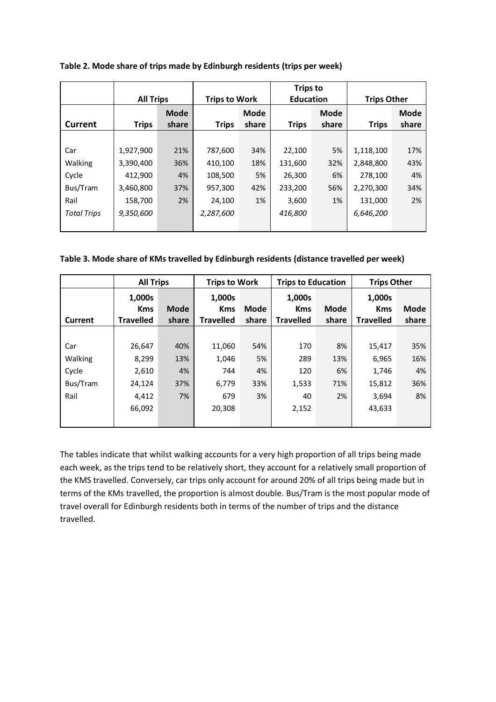|                    |              | <b>All Trips</b>     |              | <b>Trips to Work</b> |              | <b>Trips to</b><br><b>Education</b> |              | <b>Trips Other</b> |  |
|--------------------|--------------|----------------------|--------------|----------------------|--------------|-------------------------------------|--------------|--------------------|--|
| <b>Current</b>     | <b>Trips</b> | <b>Mode</b><br>share | <b>Trips</b> | <b>Mode</b><br>share | <b>Trips</b> | <b>Mode</b><br>share                | <b>Trips</b> | Mode<br>share      |  |
|                    |              |                      |              |                      |              |                                     |              |                    |  |
| Car                | 1,927,900    | 21%                  | 787,600      | 34%                  | 22,100       | 5%                                  | 1,118,100    | 17%                |  |
| Walking            | 3,390,400    | 36%                  | 410,100      | 18%                  | 131,600      | 32%                                 | 2,848,800    | 43%                |  |
| Cycle              | 412,900      | 4%                   | 108,500      | 5%                   | 26,300       | 6%                                  | 278,100      | 4%                 |  |
| Bus/Tram           | 3,460,800    | 37%                  | 957,300      | 42%                  | 233,200      | 56%                                 | 2,270,300    | 34%                |  |
| Rail               | 158,700      | 2%                   | 24,100       | 1%                   | 3,600        | 1%                                  | 131,000      | 2%                 |  |
| <b>Total Trips</b> | 9,350,600    |                      | 2,287,600    |                      | 416,800      |                                     | 6,646,200    |                    |  |
|                    |              |                      |              |                      |              |                                     |              |                    |  |

**Table 2. Mode share of trips made by Edinburgh residents (trips per week)**

#### **Table 3. Mode share of KMs travelled by Edinburgh residents (distance travelled per week)**

|          | <b>All Trips</b> |             | <b>Trips to Work</b> |       | <b>Trips to Education</b> |       | <b>Trips Other</b> |             |
|----------|------------------|-------------|----------------------|-------|---------------------------|-------|--------------------|-------------|
|          | 1,000s           |             | 1,000s               |       | 1,000s                    |       | 1,000s             |             |
|          | <b>Kms</b>       | <b>Mode</b> | <b>Kms</b>           | Mode  | <b>Kms</b>                | Mode  | <b>Kms</b>         | <b>Mode</b> |
| Current  | <b>Travelled</b> | share       | <b>Travelled</b>     | share | <b>Travelled</b>          | share | <b>Travelled</b>   | share       |
|          |                  |             |                      |       |                           |       |                    |             |
| Car      | 26,647           | 40%         | 11,060               | 54%   | 170                       | 8%    | 15,417             | 35%         |
| Walking  | 8.299            | 13%         | 1,046                | 5%    | 289                       | 13%   | 6,965              | 16%         |
| Cycle    | 2,610            | 4%          | 744                  | 4%    | 120                       | 6%    | 1,746              | 4%          |
| Bus/Tram | 24,124           | 37%         | 6,779                | 33%   | 1,533                     | 71%   | 15,812             | 36%         |
| Rail     | 4.412            | 7%          | 679                  | 3%    | 40                        | 2%    | 3,694              | 8%          |
|          | 66,092           |             | 20,308               |       | 2,152                     |       | 43,633             |             |
|          |                  |             |                      |       |                           |       |                    |             |

The tables indicate that whilst walking accounts for a very high proportion of all trips being made each week, as the trips tend to be relatively short, they account for a relatively small proportion of the KMS travelled. Conversely, car trips only account for around 20% of all trips being made but in terms of the KMs travelled, the proportion is almost double. Bus/Tram is the most popular mode of travel overall for Edinburgh residents both in terms of the number of trips and the distance travelled.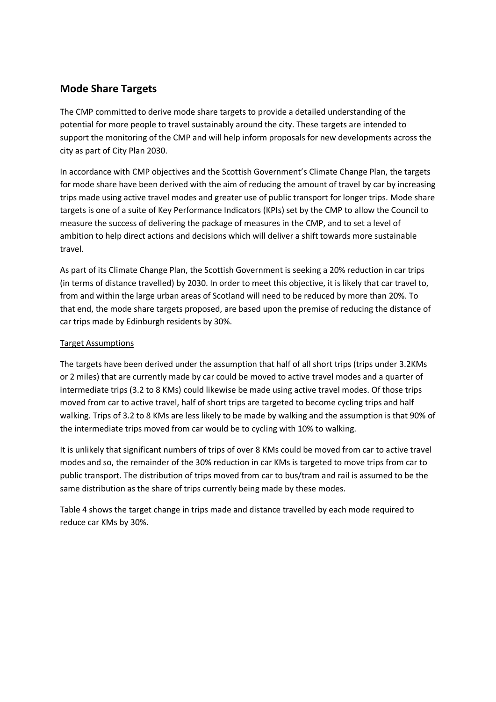### **Mode Share Targets**

The CMP committed to derive mode share targets to provide a detailed understanding of the potential for more people to travel sustainably around the city. These targets are intended to support the monitoring of the CMP and will help inform proposals for new developments across the city as part of City Plan 2030.

In accordance with CMP objectives and the Scottish Government's Climate Change Plan, the targets for mode share have been derived with the aim of reducing the amount of travel by car by increasing trips made using active travel modes and greater use of public transport for longer trips. Mode share targets is one of a suite of Key Performance Indicators (KPIs) set by the CMP to allow the Council to measure the success of delivering the package of measures in the CMP, and to set a level of ambition to help direct actions and decisions which will deliver a shift towards more sustainable travel.

As part of its Climate Change Plan, the Scottish Government is seeking a 20% reduction in car trips (in terms of distance travelled) by 2030. In order to meet this objective, it is likely that car travel to, from and within the large urban areas of Scotland will need to be reduced by more than 20%. To that end, the mode share targets proposed, are based upon the premise of reducing the distance of car trips made by Edinburgh residents by 30%.

#### Target Assumptions

The targets have been derived under the assumption that half of all short trips (trips under 3.2KMs or 2 miles) that are currently made by car could be moved to active travel modes and a quarter of intermediate trips (3.2 to 8 KMs) could likewise be made using active travel modes. Of those trips moved from car to active travel, half of short trips are targeted to become cycling trips and half walking. Trips of 3.2 to 8 KMs are less likely to be made by walking and the assumption is that 90% of the intermediate trips moved from car would be to cycling with 10% to walking.

It is unlikely that significant numbers of trips of over 8 KMs could be moved from car to active travel modes and so, the remainder of the 30% reduction in car KMs is targeted to move trips from car to public transport. The distribution of trips moved from car to bus/tram and rail is assumed to be the same distribution as the share of trips currently being made by these modes.

Table 4 shows the target change in trips made and distance travelled by each mode required to reduce car KMs by 30%.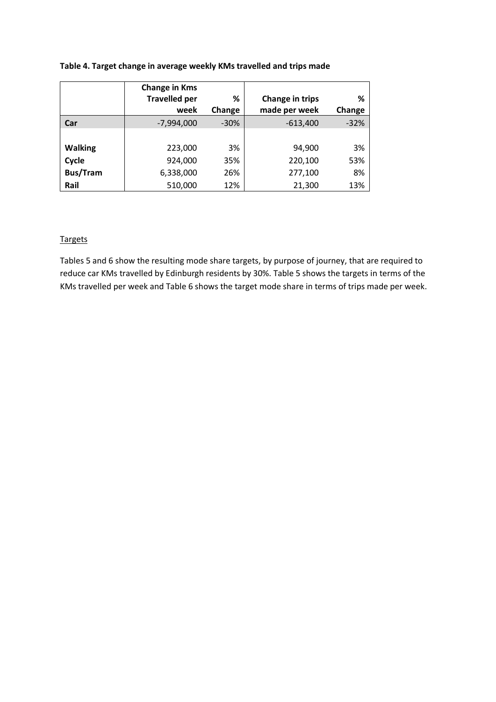#### **Table 4. Target change in average weekly KMs travelled and trips made**

|                 | <b>Change in Kms</b> |        |                 |        |
|-----------------|----------------------|--------|-----------------|--------|
|                 | <b>Travelled per</b> | %      | Change in trips | %      |
|                 | week                 | Change | made per week   | Change |
| Car             | $-7,994,000$         | $-30%$ | $-613,400$      | $-32%$ |
|                 |                      |        |                 |        |
| <b>Walking</b>  | 223,000              | 3%     | 94,900          | 3%     |
| Cycle           | 924,000              | 35%    | 220,100         | 53%    |
| <b>Bus/Tram</b> | 6,338,000            | 26%    | 277,100         | 8%     |
| Rail            | 510,000              | 12%    | 21,300          | 13%    |

#### Targets

Tables 5 and 6 show the resulting mode share targets, by purpose of journey, that are required to reduce car KMs travelled by Edinburgh residents by 30%. Table 5 shows the targets in terms of the KMs travelled per week and Table 6 shows the target mode share in terms of trips made per week.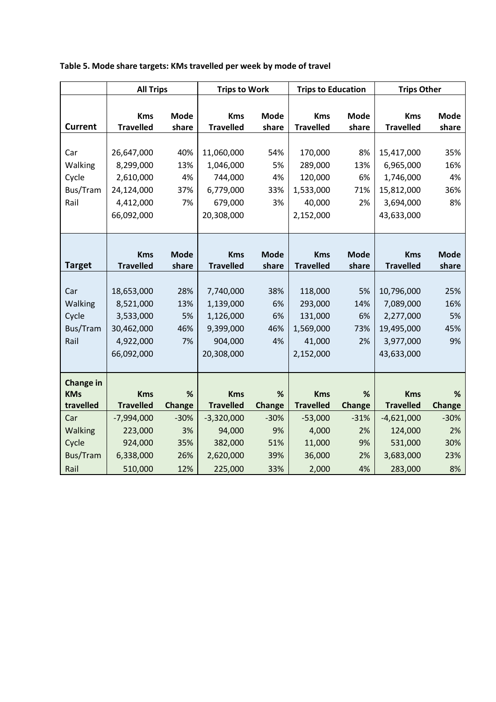|                  | <b>All Trips</b> |               | <b>Trips to Work</b> |               | <b>Trips to Education</b> |               | <b>Trips Other</b> |             |
|------------------|------------------|---------------|----------------------|---------------|---------------------------|---------------|--------------------|-------------|
|                  |                  |               |                      |               |                           |               |                    |             |
|                  | <b>Kms</b>       | <b>Mode</b>   | <b>Kms</b>           | Mode          | <b>Kms</b>                | <b>Mode</b>   | <b>Kms</b>         | <b>Mode</b> |
| <b>Current</b>   | <b>Travelled</b> | share         | <b>Travelled</b>     | share         | <b>Travelled</b>          | share         | <b>Travelled</b>   | share       |
|                  |                  |               |                      |               |                           |               |                    |             |
| Car              | 26,647,000       | 40%           | 11,060,000           | 54%           | 170,000                   | 8%            | 15,417,000         | 35%         |
| Walking          | 8,299,000        | 13%           | 1,046,000            | 5%            | 289,000                   | 13%           | 6,965,000          | 16%         |
| Cycle            | 2,610,000        | 4%            | 744,000              | 4%            | 120,000                   | 6%            | 1,746,000          | 4%          |
| Bus/Tram         | 24,124,000       | 37%           | 6,779,000            | 33%           | 1,533,000                 | 71%           | 15,812,000         | 36%         |
| Rail             | 4,412,000        | 7%            | 679,000              | 3%            | 40,000                    | 2%            | 3,694,000          | 8%          |
|                  | 66,092,000       |               | 20,308,000           |               | 2,152,000                 |               | 43,633,000         |             |
|                  |                  |               |                      |               |                           |               |                    |             |
|                  |                  |               |                      |               |                           |               |                    |             |
|                  | <b>Kms</b>       | <b>Mode</b>   | <b>Kms</b>           | <b>Mode</b>   | <b>Kms</b>                | <b>Mode</b>   | <b>Kms</b>         | <b>Mode</b> |
| <b>Target</b>    | <b>Travelled</b> | share         | <b>Travelled</b>     | share         | <b>Travelled</b>          | share         | <b>Travelled</b>   | share       |
|                  |                  |               |                      |               |                           |               |                    |             |
| Car              | 18,653,000       | 28%           | 7,740,000            | 38%           | 118,000                   | 5%            | 10,796,000         | 25%         |
| Walking          | 8,521,000        | 13%           | 1,139,000            | 6%            | 293,000                   | 14%           | 7,089,000          | 16%         |
| Cycle            | 3,533,000        | 5%            | 1,126,000            | 6%            | 131,000                   | 6%            | 2,277,000          | 5%          |
| Bus/Tram         | 30,462,000       | 46%           | 9,399,000            | 46%           | 1,569,000                 | 73%           | 19,495,000         | 45%         |
| Rail             | 4,922,000        | 7%            | 904,000              | 4%            | 41,000                    | 2%            | 3,977,000          | 9%          |
|                  | 66,092,000       |               | 20,308,000           |               | 2,152,000                 |               | 43,633,000         |             |
|                  |                  |               |                      |               |                           |               |                    |             |
| <b>Change in</b> |                  |               |                      |               |                           |               |                    |             |
| <b>KMs</b>       | <b>Kms</b>       | %             | <b>Kms</b>           | %             | <b>Kms</b>                | %             | <b>Kms</b>         | %           |
| travelled        | <b>Travelled</b> | <b>Change</b> | <b>Travelled</b>     | <b>Change</b> | <b>Travelled</b>          | <b>Change</b> | <b>Travelled</b>   | Change      |
| Car              | $-7,994,000$     | $-30%$        | $-3,320,000$         | $-30%$        | $-53,000$                 | $-31%$        | $-4,621,000$       | $-30%$      |
| Walking          | 223,000          | 3%            | 94,000               | 9%            | 4,000                     | 2%            | 124,000            | 2%          |
| Cycle            | 924,000          | 35%           | 382,000              | 51%           | 11,000                    | 9%            | 531,000            | 30%         |
| <b>Bus/Tram</b>  | 6,338,000        | 26%           | 2,620,000            | 39%           | 36,000                    | 2%            | 3,683,000          | 23%         |
| Rail             | 510,000          | 12%           | 225,000              | 33%           | 2,000                     | 4%            | 283,000            | 8%          |

### **Table 5. Mode share targets: KMs travelled per week by mode of travel**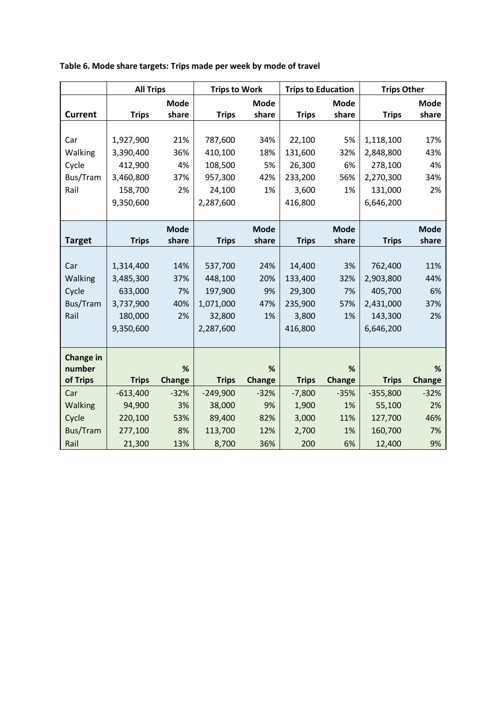|                  | <b>All Trips</b> |               | <b>Trips to Work</b> |               | <b>Trips to Education</b> |               | <b>Trips Other</b> |             |
|------------------|------------------|---------------|----------------------|---------------|---------------------------|---------------|--------------------|-------------|
|                  |                  | <b>Mode</b>   |                      | <b>Mode</b>   |                           | <b>Mode</b>   |                    | <b>Mode</b> |
| <b>Current</b>   | <b>Trips</b>     | share         | <b>Trips</b>         | share         | <b>Trips</b>              | share         | <b>Trips</b>       | share       |
|                  |                  |               |                      |               |                           |               |                    |             |
| Car              | 1,927,900        | 21%           | 787,600              | 34%           | 22,100                    | 5%            | 1,118,100          | 17%         |
| Walking          | 3,390,400        | 36%           | 410,100              | 18%           | 131,600                   | 32%           | 2,848,800          | 43%         |
| Cycle            | 412,900          | 4%            | 108,500              | 5%            | 26,300                    | 6%            | 278,100            | 4%          |
| Bus/Tram         | 3,460,800        | 37%           | 957,300              | 42%           | 233,200                   | 56%           | 2,270,300          | 34%         |
| Rail             | 158,700          | 2%            | 24,100               | 1%            | 3,600                     | 1%            | 131,000            | 2%          |
|                  | 9,350,600        |               | 2,287,600            |               | 416,800                   |               | 6,646,200          |             |
|                  |                  |               |                      |               |                           |               |                    |             |
|                  |                  | <b>Mode</b>   |                      | <b>Mode</b>   |                           | <b>Mode</b>   |                    | <b>Mode</b> |
| <b>Target</b>    | <b>Trips</b>     | share         | <b>Trips</b>         | share         | <b>Trips</b>              | share         | <b>Trips</b>       | share       |
|                  |                  |               |                      |               |                           |               |                    |             |
| Car              | 1,314,400        | 14%           | 537,700              | 24%           | 14,400                    | 3%            | 762,400            | 11%         |
| Walking          | 3,485,300        | 37%           | 448,100              | 20%           | 133,400                   | 32%           | 2,903,800          | 44%         |
| Cycle            | 633,000          | 7%            | 197,900              | 9%            | 29,300                    | 7%            | 405,700            | 6%          |
| Bus/Tram         | 3,737,900        | 40%           | 1,071,000            | 47%           | 235,900                   | 57%           | 2,431,000          | 37%         |
| Rail             | 180,000          | 2%            | 32,800               | 1%            | 3,800                     | 1%            | 143,300            | 2%          |
|                  | 9,350,600        |               | 2,287,600            |               | 416,800                   |               | 6,646,200          |             |
|                  |                  |               |                      |               |                           |               |                    |             |
| <b>Change in</b> |                  |               |                      |               |                           |               |                    |             |
| number           |                  | %             |                      | %             |                           | %             |                    | %           |
| of Trips         | <b>Trips</b>     | <b>Change</b> | <b>Trips</b>         | <b>Change</b> | <b>Trips</b>              | <b>Change</b> | <b>Trips</b>       | Change      |
| Car              | $-613,400$       | $-32%$        | $-249,900$           | $-32%$        | $-7,800$                  | $-35%$        | $-355,800$         | $-32%$      |
| Walking          | 94,900           | 3%            | 38,000               | 9%            | 1,900                     | 1%            | 55,100             | 2%          |
| Cycle            | 220,100          | 53%           | 89,400               | 82%           | 3,000                     | 11%           | 127,700            | 46%         |
| Bus/Tram         | 277,100          | 8%            | 113,700              | 12%           | 2,700                     | 1%            | 160,700            | 7%          |
| Rail             | 21,300           | 13%           | 8,700                | 36%           | 200                       | 6%            | 12,400             | 9%          |

**Table 6. Mode share targets: Trips made per week by mode of travel**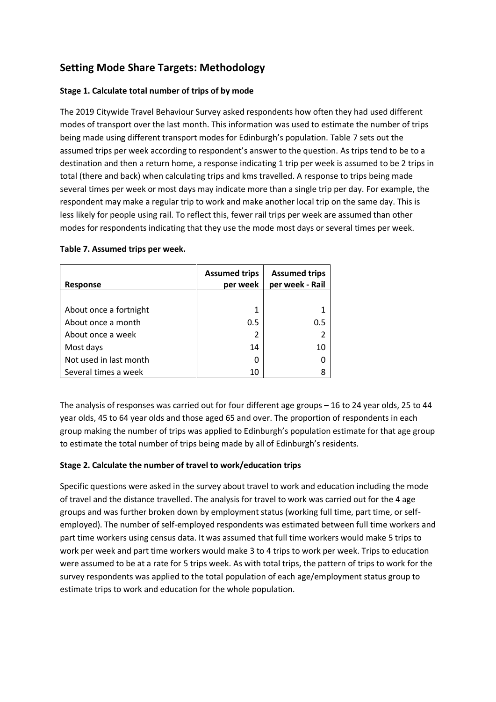# **Setting Mode Share Targets: Methodology**

#### **Stage 1. Calculate total number of trips of by mode**

The 2019 Citywide Travel Behaviour Survey asked respondents how often they had used different modes of transport over the last month. This information was used to estimate the number of trips being made using different transport modes for Edinburgh's population. Table 7 sets out the assumed trips per week according to respondent's answer to the question. As trips tend to be to a destination and then a return home, a response indicating 1 trip per week is assumed to be 2 trips in total (there and back) when calculating trips and kms travelled. A response to trips being made several times per week or most days may indicate more than a single trip per day. For example, the respondent may make a regular trip to work and make another local trip on the same day. This is less likely for people using rail. To reflect this, fewer rail trips per week are assumed than other modes for respondents indicating that they use the mode most days or several times per week.

| <b>Response</b>        | <b>Assumed trips</b><br>per week | <b>Assumed trips</b><br>per week - Rail |
|------------------------|----------------------------------|-----------------------------------------|
|                        |                                  |                                         |
| About once a fortnight | 1                                |                                         |
| About once a month     | 0.5                              | 0.5                                     |
| About once a week      | 2                                |                                         |
| Most days              | 14                               | 10                                      |
| Not used in last month | 0                                |                                         |
| Several times a week   | 10                               |                                         |

#### **Table 7. Assumed trips per week.**

The analysis of responses was carried out for four different age groups – 16 to 24 year olds, 25 to 44 year olds, 45 to 64 year olds and those aged 65 and over. The proportion of respondents in each group making the number of trips was applied to Edinburgh's population estimate for that age group to estimate the total number of trips being made by all of Edinburgh's residents.

#### **Stage 2. Calculate the number of travel to work/education trips**

Specific questions were asked in the survey about travel to work and education including the mode of travel and the distance travelled. The analysis for travel to work was carried out for the 4 age groups and was further broken down by employment status (working full time, part time, or selfemployed). The number of self-employed respondents was estimated between full time workers and part time workers using census data. It was assumed that full time workers would make 5 trips to work per week and part time workers would make 3 to 4 trips to work per week. Trips to education were assumed to be at a rate for 5 trips week. As with total trips, the pattern of trips to work for the survey respondents was applied to the total population of each age/employment status group to estimate trips to work and education for the whole population.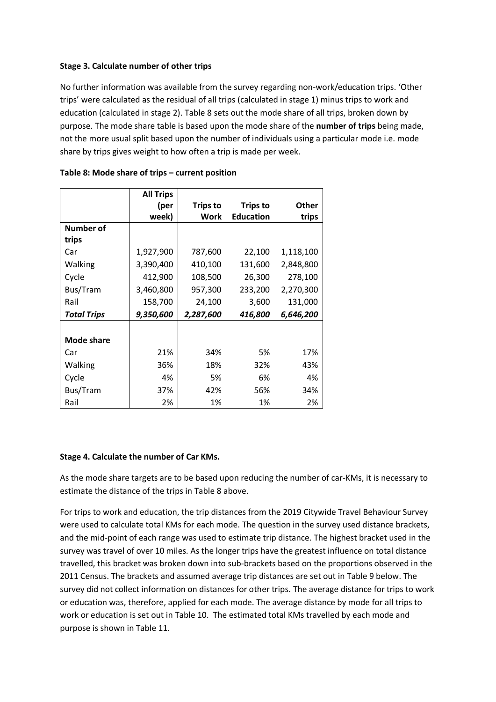#### **Stage 3. Calculate number of other trips**

No further information was available from the survey regarding non-work/education trips. 'Other trips' were calculated as the residual of all trips (calculated in stage 1) minus trips to work and education (calculated in stage 2). Table 8 sets out the mode share of all trips, broken down by purpose. The mode share table is based upon the mode share of the **number of trips** being made, not the more usual split based upon the number of individuals using a particular mode i.e. mode share by trips gives weight to how often a trip is made per week.

|                    | <b>All Trips</b> |                 |                  |           |
|--------------------|------------------|-----------------|------------------|-----------|
|                    | (per             | <b>Trips to</b> | <b>Trips to</b>  | Other     |
|                    | week)            | Work            | <b>Education</b> | trips     |
| <b>Number of</b>   |                  |                 |                  |           |
| trips              |                  |                 |                  |           |
| Car                | 1,927,900        | 787,600         | 22,100           | 1,118,100 |
| Walking            | 3,390,400        | 410,100         | 131,600          | 2,848,800 |
| Cycle              | 412,900          | 108,500         | 26,300           | 278,100   |
| Bus/Tram           | 3,460,800        | 957,300         | 233,200          | 2,270,300 |
| Rail               | 158,700          | 24,100          | 3,600            | 131,000   |
| <b>Total Trips</b> | 9,350,600        | 2,287,600       | 416,800          | 6,646,200 |
|                    |                  |                 |                  |           |
| <b>Mode share</b>  |                  |                 |                  |           |
| Car                | 21%              | 34%             | 5%               | 17%       |
| Walking            | 36%              | 18%             | 32%              | 43%       |
| Cycle              | 4%               | 5%              | 6%               | 4%        |
| Bus/Tram           | 37%              | 42%             | 56%              | 34%       |
| Rail               | 2%               | 1%              | 1%               | 2%        |

#### **Table 8: Mode share of trips – current position**

#### **Stage 4. Calculate the number of Car KMs.**

As the mode share targets are to be based upon reducing the number of car-KMs, it is necessary to estimate the distance of the trips in Table 8 above.

For trips to work and education, the trip distances from the 2019 Citywide Travel Behaviour Survey were used to calculate total KMs for each mode. The question in the survey used distance brackets, and the mid-point of each range was used to estimate trip distance. The highest bracket used in the survey was travel of over 10 miles. As the longer trips have the greatest influence on total distance travelled, this bracket was broken down into sub-brackets based on the proportions observed in the 2011 Census. The brackets and assumed average trip distances are set out in Table 9 below. The survey did not collect information on distances for other trips. The average distance for trips to work or education was, therefore, applied for each mode. The average distance by mode for all trips to work or education is set out in Table 10. The estimated total KMs travelled by each mode and purpose is shown in Table 11.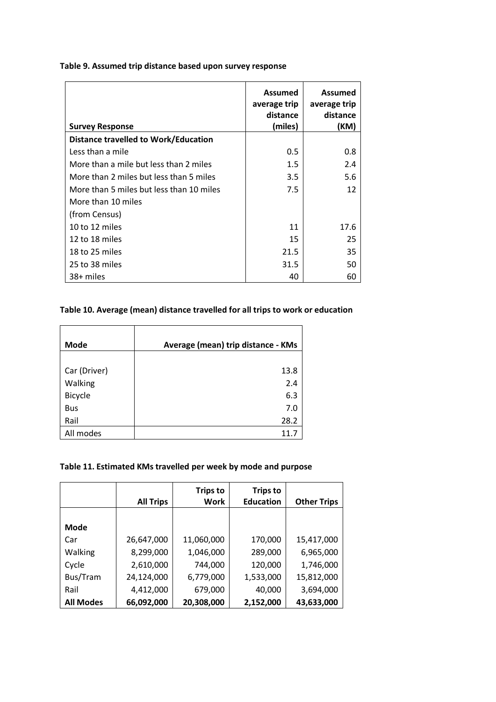#### **Table 9. Assumed trip distance based upon survey response**

| <b>Survey Response</b>                   | Assumed<br>average trip<br>distance<br>(miles) | Assumed<br>average trip<br>distance<br>(KM) |
|------------------------------------------|------------------------------------------------|---------------------------------------------|
| Distance travelled to Work/Education     |                                                |                                             |
| Less than a mile                         | 0.5                                            | 0.8                                         |
| More than a mile but less than 2 miles   | 1.5                                            | 2.4                                         |
| More than 2 miles but less than 5 miles  | 3.5                                            | 5.6                                         |
| More than 5 miles but less than 10 miles | 7.5                                            | 12                                          |
| More than 10 miles                       |                                                |                                             |
| (from Census)                            |                                                |                                             |
| 10 to 12 miles                           | 11                                             | 17.6                                        |
| 12 to 18 miles                           | 15                                             | 25                                          |
| 18 to 25 miles                           | 21.5                                           | 35                                          |
| 25 to 38 miles                           | 31.5                                           | 50                                          |
| 38+ miles                                | 40                                             | 60                                          |

#### **Table 10. Average (mean) distance travelled for all trips to work or education**

| <b>Mode</b>    | Average (mean) trip distance - KMs |
|----------------|------------------------------------|
|                |                                    |
| Car (Driver)   | 13.8                               |
| Walking        | 2.4                                |
| <b>Bicycle</b> | 6.3                                |
| <b>Bus</b>     | 7.0                                |
| Rail           | 28.2                               |
| All modes      | 11.7                               |

 $\blacksquare$ 

#### **Table 11. Estimated KMs travelled per week by mode and purpose**

|                  | <b>All Trips</b> | <b>Trips to</b><br>Work | <b>Trips to</b><br><b>Education</b> | <b>Other Trips</b> |
|------------------|------------------|-------------------------|-------------------------------------|--------------------|
|                  |                  |                         |                                     |                    |
| <b>Mode</b>      |                  |                         |                                     |                    |
| Car              | 26,647,000       | 11,060,000              | 170,000                             | 15,417,000         |
| Walking          | 8,299,000        | 1,046,000               | 289,000                             | 6,965,000          |
| Cycle            | 2,610,000        | 744,000                 | 120,000                             | 1,746,000          |
| Bus/Tram         | 24,124,000       | 6,779,000               | 1,533,000                           | 15,812,000         |
| Rail             | 4,412,000        | 679,000                 | 40,000                              | 3,694,000          |
| <b>All Modes</b> | 66,092,000       | 20,308,000              | 2,152,000                           | 43,633,000         |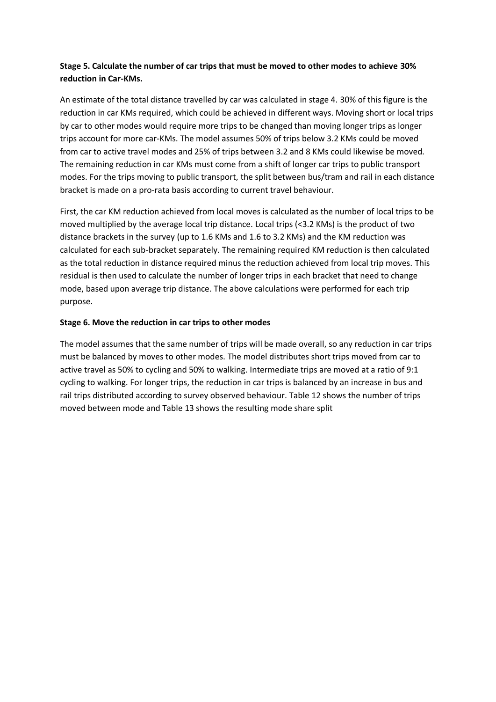#### **Stage 5. Calculate the number of car trips that must be moved to other modes to achieve 30% reduction in Car-KMs.**

An estimate of the total distance travelled by car was calculated in stage 4. 30% of this figure is the reduction in car KMs required, which could be achieved in different ways. Moving short or local trips by car to other modes would require more trips to be changed than moving longer trips as longer trips account for more car-KMs. The model assumes 50% of trips below 3.2 KMs could be moved from car to active travel modes and 25% of trips between 3.2 and 8 KMs could likewise be moved. The remaining reduction in car KMs must come from a shift of longer car trips to public transport modes. For the trips moving to public transport, the split between bus/tram and rail in each distance bracket is made on a pro-rata basis according to current travel behaviour.

First, the car KM reduction achieved from local moves is calculated as the number of local trips to be moved multiplied by the average local trip distance. Local trips (<3.2 KMs) is the product of two distance brackets in the survey (up to 1.6 KMs and 1.6 to 3.2 KMs) and the KM reduction was calculated for each sub-bracket separately. The remaining required KM reduction is then calculated as the total reduction in distance required minus the reduction achieved from local trip moves. This residual is then used to calculate the number of longer trips in each bracket that need to change mode, based upon average trip distance. The above calculations were performed for each trip purpose.

#### **Stage 6. Move the reduction in car trips to other modes**

The model assumes that the same number of trips will be made overall, so any reduction in car trips must be balanced by moves to other modes. The model distributes short trips moved from car to active travel as 50% to cycling and 50% to walking. Intermediate trips are moved at a ratio of 9:1 cycling to walking. For longer trips, the reduction in car trips is balanced by an increase in bus and rail trips distributed according to survey observed behaviour. Table 12 shows the number of trips moved between mode and Table 13 shows the resulting mode share split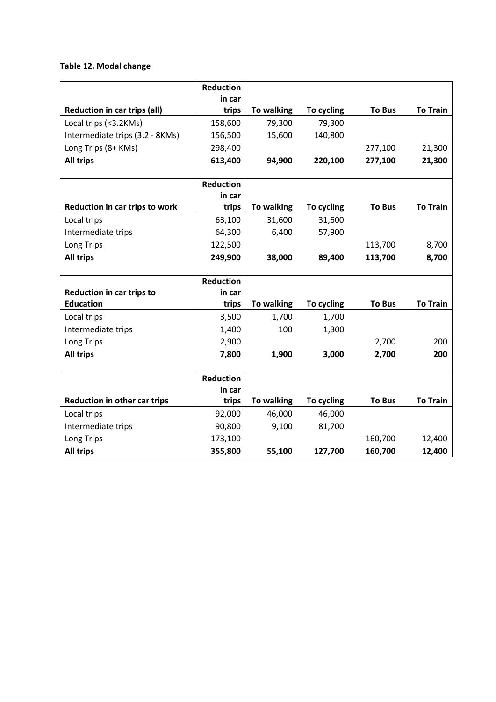#### **Table 12. Modal change**

|                                     | Reduction        |            |            |               |                 |
|-------------------------------------|------------------|------------|------------|---------------|-----------------|
|                                     | in car           |            |            |               |                 |
| <b>Reduction in car trips (all)</b> | trips            | To walking | To cycling | <b>To Bus</b> | <b>To Train</b> |
| Local trips (<3.2KMs)               | 158,600          | 79,300     | 79,300     |               |                 |
| Intermediate trips (3.2 - 8KMs)     | 156,500          | 15,600     | 140,800    |               |                 |
| Long Trips (8+ KMs)                 | 298,400          |            |            | 277,100       | 21,300          |
| <b>All trips</b>                    | 613,400          | 94,900     | 220,100    | 277,100       | 21,300          |
|                                     |                  |            |            |               |                 |
|                                     | <b>Reduction</b> |            |            |               |                 |
|                                     | in car           |            |            |               |                 |
| Reduction in car trips to work      | trips            | To walking | To cycling | <b>To Bus</b> | <b>To Train</b> |
| Local trips                         | 63,100           | 31,600     | 31,600     |               |                 |
| Intermediate trips                  | 64,300           | 6,400      | 57,900     |               |                 |
| Long Trips                          | 122,500          |            |            | 113,700       | 8,700           |
| <b>All trips</b>                    | 249,900          | 38,000     | 89,400     | 113,700       | 8,700           |
|                                     |                  |            |            |               |                 |
|                                     | <b>Reduction</b> |            |            |               |                 |
| <b>Reduction in car trips to</b>    | in car           |            |            |               |                 |
| <b>Education</b>                    | trips            | To walking | To cycling | <b>To Bus</b> | <b>To Train</b> |
| Local trips                         | 3,500            | 1,700      | 1,700      |               |                 |
| Intermediate trips                  | 1,400            | 100        | 1,300      |               |                 |
| Long Trips                          | 2,900            |            |            | 2,700         | 200             |
| <b>All trips</b>                    | 7,800            | 1,900      | 3,000      | 2,700         | 200             |
|                                     |                  |            |            |               |                 |
|                                     | <b>Reduction</b> |            |            |               |                 |
|                                     | in car           |            |            |               |                 |
| Reduction in other car trips        | trips            | To walking | To cycling | <b>To Bus</b> | <b>To Train</b> |
| Local trips                         | 92,000           | 46,000     | 46,000     |               |                 |
| Intermediate trips                  | 90,800           | 9,100      | 81,700     |               |                 |
| Long Trips                          | 173,100          |            |            | 160,700       | 12,400          |
| <b>All trips</b>                    | 355,800          | 55,100     | 127,700    | 160,700       | 12,400          |